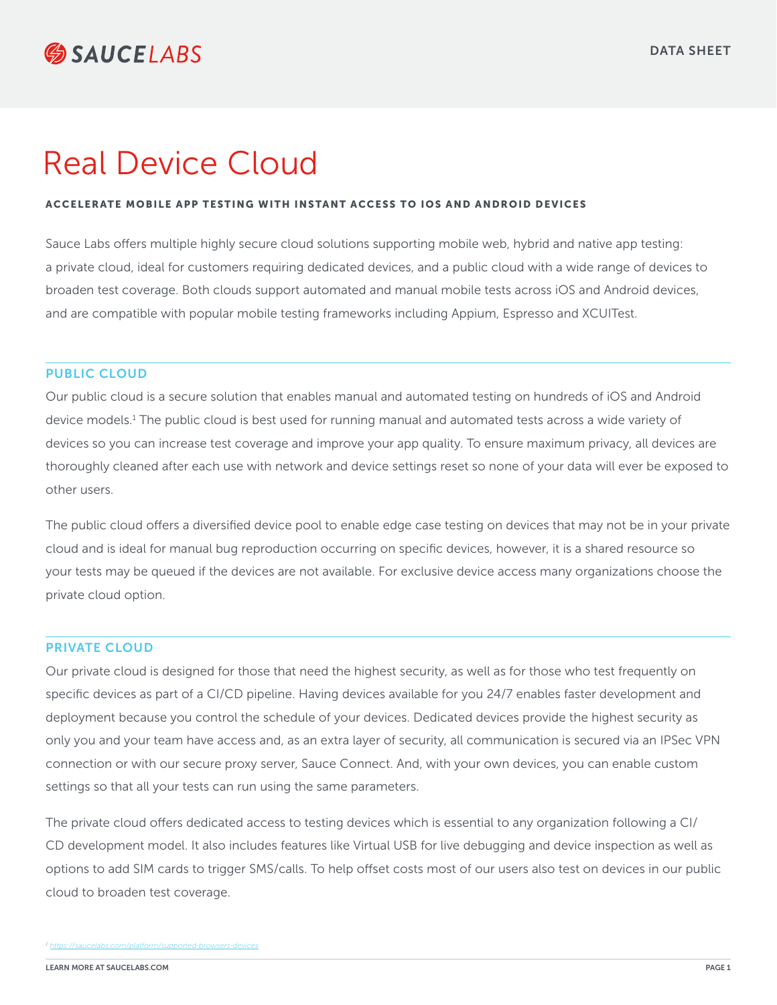# Real Device Cloud

#### ACCELERATE MOBILE APP TESTING WITH INSTANT ACCESS TO IOS AND ANDROID DEVICES

Sauce Labs offers multiple highly secure cloud solutions supporting mobile web, hybrid and native app testing: a private cloud, ideal for customers requiring dedicated devices, and a public cloud with a wide range of devices to broaden test coverage. Both clouds support automated and manual mobile tests across iOS and Android devices, and are compatible with popular mobile testing frameworks including Appium, Espresso and XCUITest.

#### PUBLIC CLOUD

Our public cloud is a secure solution that enables manual and automated testing on hundreds of iOS and Android device models.<sup>1</sup> The public cloud is best used for running manual and automated tests across a wide variety of devices so you can increase test coverage and improve your app quality. To ensure maximum privacy, all devices are thoroughly cleaned after each use with network and device settings reset so none of your data will ever be exposed to other users.

The public cloud offers a diversified device pool to enable edge case testing on devices that may not be in your private cloud and is ideal for manual bug reproduction occurring on specific devices, however, it is a shared resource so your tests may be queued if the devices are not available. For exclusive device access many organizations choose the private cloud option.

#### PRIVATE CLOUD

Our private cloud is designed for those that need the highest security, as well as for those who test frequently on specific devices as part of a CI/CD pipeline. Having devices available for you 24/7 enables faster development and deployment because you control the schedule of your devices. Dedicated devices provide the highest security as only you and your team have access and, as an extra layer of security, all communication is secured via an IPSec VPN connection or with our secure proxy server, Sauce Connect. And, with your own devices, you can enable custom settings so that all your tests can run using the same parameters.

The private cloud offers dedicated access to testing devices which is essential to any organization following a CI/ CD development model. It also includes features like Virtual USB for live debugging and device inspection as well as options to add SIM cards to trigger SMS/calls. To help offset costs most of our users also test on devices in our public cloud to broaden test coverage.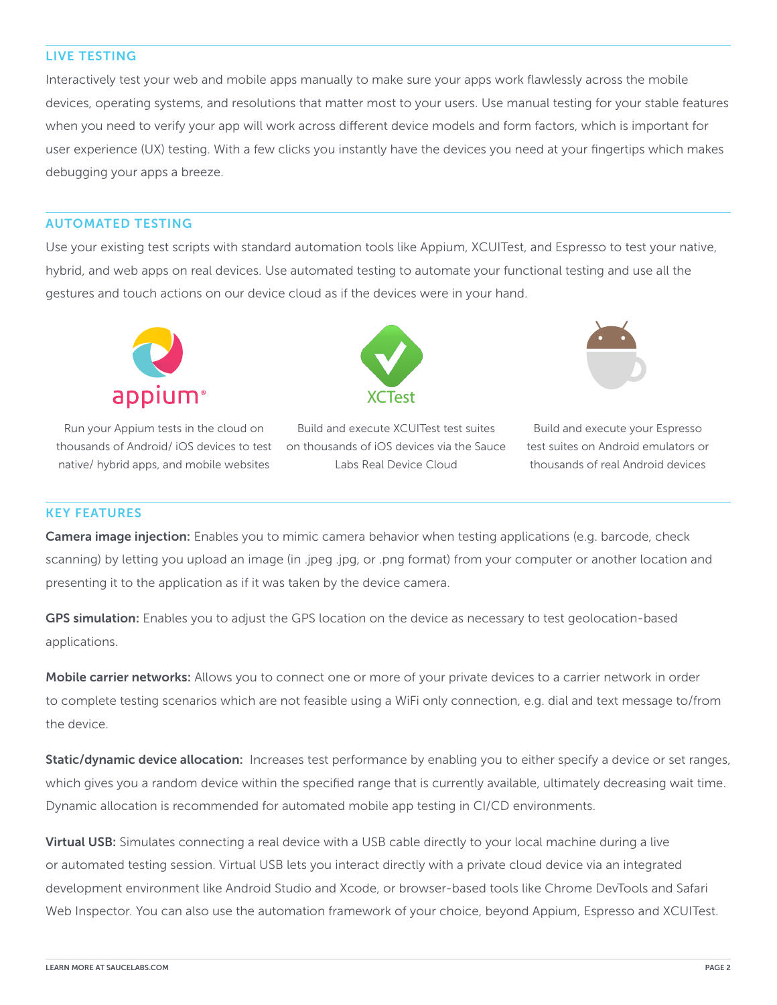### LIVE TESTING

Interactively test your web and mobile apps manually to make sure your apps work flawlessly across the mobile devices, operating systems, and resolutions that matter most to your users. Use manual testing for your stable features when you need to verify your app will work across different device models and form factors, which is important for user experience (UX) testing. With a few clicks you instantly have the devices you need at your fingertips which makes debugging your apps a breeze.

## AUTOMATED TESTING

Use your existing test scripts with standard automation tools like Appium, XCUITest, and Espresso to test your native, hybrid, and web apps on real devices. Use automated testing to automate your functional testing and use all the gestures and touch actions on our device cloud as if the devices were in your hand.



Run your Appium tests in the cloud on thousands of Android/ iOS devices to test on thousands of iOS devices via the Sauce native/ hybrid apps, and mobile websites



Build and execute XCUITest test suites Labs Real Device Cloud



Build and execute your Espresso test suites on Android emulators or thousands of real Android devices

#### KEY FEATURES

Camera image injection: Enables you to mimic camera behavior when testing applications (e.g. barcode, check scanning) by letting you upload an image (in .jpeg .jpg, or .png format) from your computer or another location and presenting it to the application as if it was taken by the device camera.

GPS simulation: Enables you to adjust the GPS location on the device as necessary to test geolocation-based applications.

Mobile carrier networks: Allows you to connect one or more of your private devices to a carrier network in order to complete testing scenarios which are not feasible using a WiFi only connection, e.g. dial and text message to/from the device.

Static/dynamic device allocation: Increases test performance by enabling you to either specify a device or set ranges, which gives you a random device within the specified range that is currently available, ultimately decreasing wait time. Dynamic allocation is recommended for automated mobile app testing in CI/CD environments.

Virtual USB: Simulates connecting a real device with a USB cable directly to your local machine during a live or automated testing session. Virtual USB lets you interact directly with a private cloud device via an integrated development environment like Android Studio and Xcode, or browser-based tools like Chrome DevTools and Safari Web Inspector. You can also use the automation framework of your choice, beyond Appium, Espresso and XCUITest.